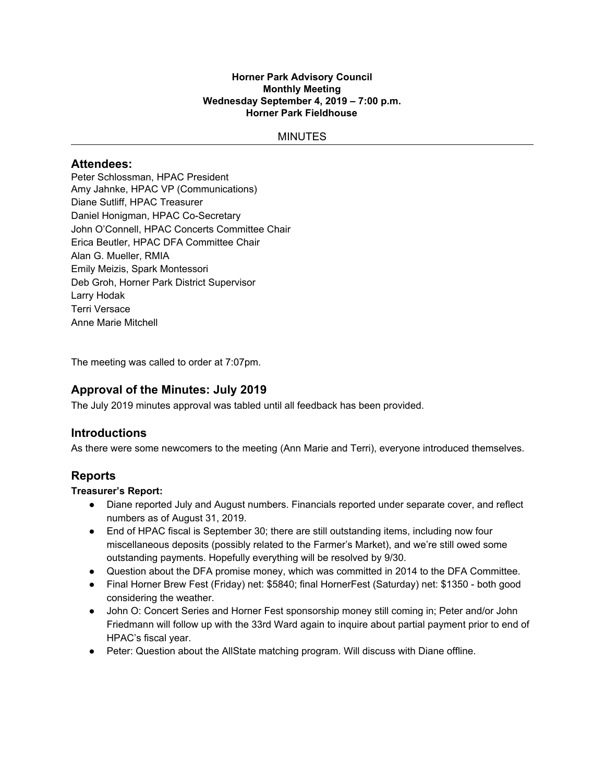#### **Horner Park Advisory Council Monthly Meeting Wednesday September 4, 2019 – 7:00 p.m. Horner Park Fieldhouse**

### **MINUTES**

### **Attendees:**

Peter Schlossman, HPAC President Amy Jahnke, HPAC VP (Communications) Diane Sutliff, HPAC Treasurer Daniel Honigman, HPAC Co-Secretary John O'Connell, HPAC Concerts Committee Chair Erica Beutler, HPAC DFA Committee Chair Alan G. Mueller, RMIA Emily Meizis, Spark Montessori Deb Groh, Horner Park District Supervisor Larry Hodak Terri Versace Anne Marie Mitchell

The meeting was called to order at 7:07pm.

# **Approval of the Minutes: July 2019**

The July 2019 minutes approval was tabled until all feedback has been provided.

## **Introductions**

As there were some newcomers to the meeting (Ann Marie and Terri), everyone introduced themselves.

## **Reports**

### **Treasurer's Report:**

- Diane reported July and August numbers. Financials reported under separate cover, and reflect numbers as of August 31, 2019.
- End of HPAC fiscal is September 30; there are still outstanding items, including now four miscellaneous deposits (possibly related to the Farmer's Market), and we're still owed some outstanding payments. Hopefully everything will be resolved by 9/30.
- Question about the DFA promise money, which was committed in 2014 to the DFA Committee.
- Final Horner Brew Fest (Friday) net: \$5840; final HornerFest (Saturday) net: \$1350 both good considering the weather.
- John O: Concert Series and Horner Fest sponsorship money still coming in; Peter and/or John Friedmann will follow up with the 33rd Ward again to inquire about partial payment prior to end of HPAC's fiscal year.
- Peter: Question about the AllState matching program. Will discuss with Diane offline.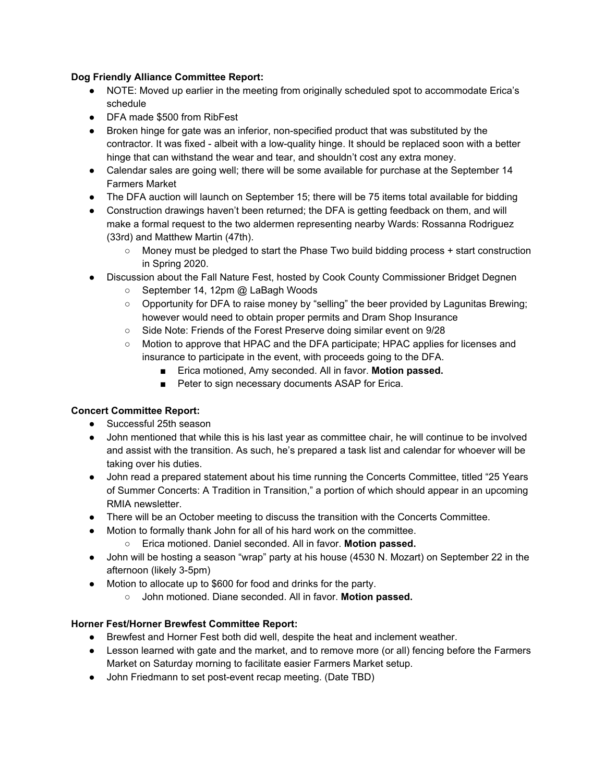### **Dog Friendly Alliance Committee Report:**

- NOTE: Moved up earlier in the meeting from originally scheduled spot to accommodate Erica's schedule
- DFA made \$500 from RibFest
- Broken hinge for gate was an inferior, non-specified product that was substituted by the contractor. It was fixed - albeit with a low-quality hinge. It should be replaced soon with a better hinge that can withstand the wear and tear, and shouldn't cost any extra money.
- Calendar sales are going well; there will be some available for purchase at the September 14 Farmers Market
- The DFA auction will launch on September 15; there will be 75 items total available for bidding
- Construction drawings haven't been returned; the DFA is getting feedback on them, and will make a formal request to the two aldermen representing nearby Wards: Rossanna Rodriguez (33rd) and Matthew Martin (47th).
	- Money must be pledged to start the Phase Two build bidding process + start construction in Spring 2020.
- Discussion about the Fall Nature Fest, hosted by Cook County Commissioner Bridget Degnen
	- September 14, 12pm @ LaBagh Woods
	- Opportunity for DFA to raise money by "selling" the beer provided by Lagunitas Brewing; however would need to obtain proper permits and Dram Shop Insurance
	- Side Note: Friends of the Forest Preserve doing similar event on 9/28
	- Motion to approve that HPAC and the DFA participate; HPAC applies for licenses and insurance to participate in the event, with proceeds going to the DFA.
		- Erica motioned, Amy seconded. All in favor. **Motion passed.**
		- Peter to sign necessary documents ASAP for Erica.

## **Concert Committee Report:**

- Successful 25th season
- John mentioned that while this is his last year as committee chair, he will continue to be involved and assist with the transition. As such, he's prepared a task list and calendar for whoever will be taking over his duties.
- John read a prepared statement about his time running the Concerts Committee, titled "25 Years" of Summer Concerts: A Tradition in Transition," a portion of which should appear in an upcoming RMIA newsletter.
- There will be an October meeting to discuss the transition with the Concerts Committee.
- Motion to formally thank John for all of his hard work on the committee.
	- Erica motioned. Daniel seconded. All in favor. **Motion passed.**
- John will be hosting a season "wrap" party at his house (4530 N. Mozart) on September 22 in the afternoon (likely 3-5pm)
- Motion to allocate up to \$600 for food and drinks for the party.
	- John motioned. Diane seconded. All in favor. **Motion passed.**

## **Horner Fest/Horner Brewfest Committee Report:**

- Brewfest and Horner Fest both did well, despite the heat and inclement weather.
- Lesson learned with gate and the market, and to remove more (or all) fencing before the Farmers Market on Saturday morning to facilitate easier Farmers Market setup.
- John Friedmann to set post-event recap meeting. (Date TBD)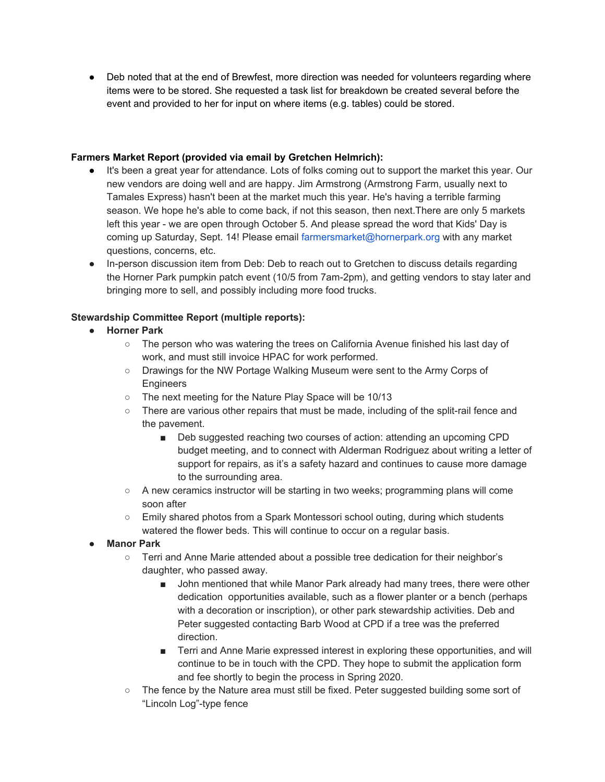● Deb noted that at the end of Brewfest, more direction was needed for volunteers regarding where items were to be stored. She requested a task list for breakdown be created several before the event and provided to her for input on where items (e.g. tables) could be stored.

### **Farmers Market Report (provided via email by Gretchen Helmrich):**

- It's been a great year for attendance. Lots of folks coming out to support the market this year. Our new vendors are doing well and are happy. Jim Armstrong (Armstrong Farm, usually next to Tamales Express) hasn't been at the market much this year. He's having a terrible farming season. We hope he's able to come back, if not this season, then next.There are only 5 markets left this year - we are open through October 5. And please spread the word that Kids' Day is coming up Saturday, Sept. 14! Please email farmersmarket@hornerpark.org with any market questions, concerns, etc.
- In-person discussion item from Deb: Deb to reach out to Gretchen to discuss details regarding the Horner Park pumpkin patch event (10/5 from 7am-2pm), and getting vendors to stay later and bringing more to sell, and possibly including more food trucks.

## **Stewardship Committee Report (multiple reports):**

- **● Horner Park**
	- The person who was watering the trees on California Avenue finished his last day of work, and must still invoice HPAC for work performed.
	- Drawings for the NW Portage Walking Museum were sent to the Army Corps of **Engineers**
	- The next meeting for the Nature Play Space will be 10/13
	- There are various other repairs that must be made, including of the split-rail fence and the pavement.
		- Deb suggested reaching two courses of action: attending an upcoming CPD budget meeting, and to connect with Alderman Rodriguez about writing a letter of support for repairs, as it's a safety hazard and continues to cause more damage to the surrounding area.
	- A new ceramics instructor will be starting in two weeks; programming plans will come soon after
	- Emily shared photos from a Spark Montessori school outing, during which students watered the flower beds. This will continue to occur on a regular basis.
- **Manor Park**
	- Terri and Anne Marie attended about a possible tree dedication for their neighbor's daughter, who passed away.
		- John mentioned that while Manor Park already had many trees, there were other dedication opportunities available, such as a flower planter or a bench (perhaps with a decoration or inscription), or other park stewardship activities. Deb and Peter suggested contacting Barb Wood at CPD if a tree was the preferred direction.
		- Terri and Anne Marie expressed interest in exploring these opportunities, and will continue to be in touch with the CPD. They hope to submit the application form and fee shortly to begin the process in Spring 2020.
	- The fence by the Nature area must still be fixed. Peter suggested building some sort of "Lincoln Log"-type fence